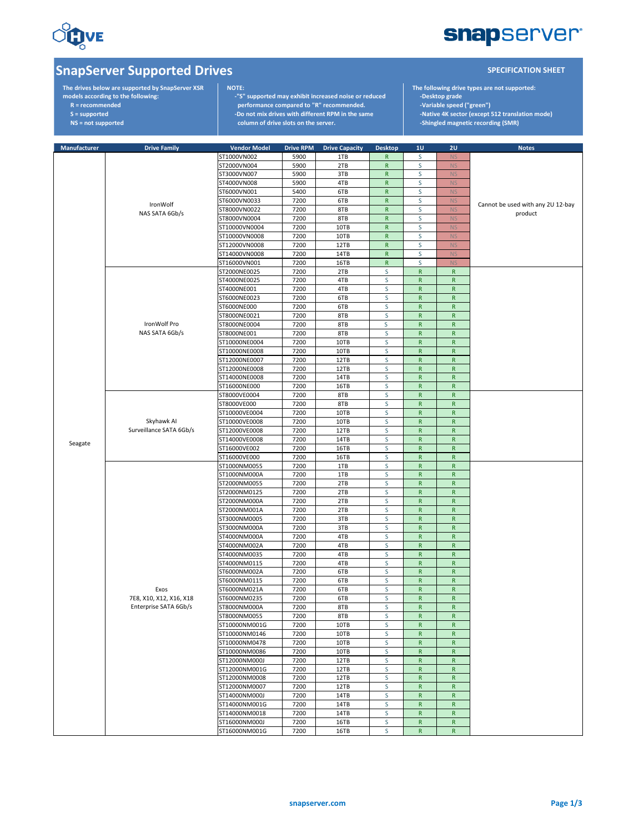

 **R = recommended S = supported NS = not supported**

## snapserver<sup>®</sup>

## **SnapServer Supported Drives SPECIFICATION SHEET**

- **The drives below are supported by SnapServer XSR**
- **models according to the following:**
- **NOTE:**
	- **-"S" supported may exhibit increased noise or reduced performance compared to "R" recommended. -Do not mix drives with different RPM in the same column of drive slots on the server.**
- 
- **The following drive types are not supported: -Desktop grade**
- **-Variable speed ("green")**
- **-Native 4K sector (except 512 translation mode)**
- **-Shingled magnetic recording (SMR)**
- 

| ST1000VN002<br>5900<br>S<br>1TB<br>R<br><b>NS</b><br>ST2000VN004<br>5900<br>2TB<br>${\sf R}$<br>S<br><b>NS</b><br>3TB<br>$\overline{\mathsf{R}}$<br>ST3000VN007<br>5900<br>S<br><b>NS</b><br>ST4000VN008<br>5900<br>4TB<br>${\sf R}$<br>S<br><b>NS</b><br>${\sf R}$<br>ST6000VN001<br>5400<br>6TB<br>S<br><b>NS</b><br>6TB<br>$\mathsf{R}$<br>S<br>ST6000VN0033<br>7200<br><b>NS</b><br>IronWolf<br>Cannot be used with any 2U 12-bay<br>ST8000VN0022<br>7200<br>8TB<br>${\sf R}$<br>S<br><b>NS</b><br>NAS SATA 6Gb/s<br>product<br>7200<br>8TB<br>$\overline{\mathsf{R}}$<br>ST8000VN0004<br>S<br><b>NS</b><br>ST10000VN0004<br>7200<br>10TB<br>${\sf R}$<br>S<br><b>NS</b><br>${\sf R}$<br>ST10000VN0008<br>7200<br>10TB<br>S<br><b>NS</b><br>$\mathsf{R}$<br>ST12000VN0008<br>7200<br>12TB<br>S<br><b>NS</b><br>7200<br>14TB<br>${\sf R}$<br>ST14000VN0008<br>S<br><b>NS</b><br>$\overline{\mathsf{R}}$<br>7200<br>16TB<br>S<br><b>NS</b><br>ST16000VN001<br>ST2000NE0025<br>7200<br>2TB<br>S<br>$\mathsf R$<br>${\sf R}$<br>S<br>ST4000NE0025<br>7200<br>4TB<br>${\sf R}$<br>${\sf R}$<br>4TB<br>${\sf R}$<br>ST4000NE001<br>7200<br>S<br>$\mathsf{R}$<br>ST6000NE0023<br>7200<br>6TB<br>S<br>$\mathsf R$<br>$\mathsf R$<br>S<br>$\overline{\mathsf{R}}$<br>$\overline{\mathsf{R}}$<br>ST6000NE000<br>7200<br>6TB<br>8TB<br>S<br>${\sf R}$<br>ST8000NE0021<br>7200<br>$\mathsf{R}$<br>IronWolf Pro<br>ST8000NE0004<br>7200<br>8TB<br>S<br>${\sf R}$<br>${\sf R}$<br>NAS SATA 6Gb/s<br>8TB<br>${\sf R}$<br>ST8000NE001<br>7200<br>S<br>$\mathsf{R}$<br>ST10000NE0004<br>7200<br>10TB<br>S<br>$\mathsf R$<br>$\mathsf R$<br>S<br>$\overline{\mathsf{R}}$<br>$\overline{\mathsf{R}}$<br>7200<br>10TB<br>ST10000NE0008<br>S<br>${\sf R}$<br>ST12000NE0007<br>7200<br>12TB<br>$\mathsf{R}$<br>ST12000NE0008<br>7200<br>12TB<br>S<br>${\sf R}$<br>${\sf R}$<br>14TB<br>S<br>${\sf R}$<br>ST14000NE0008<br>7200<br>$\mathsf{R}$<br>ST16000NE000<br>7200<br>16TB<br>S<br>$\mathsf R$<br>$\mathsf R$<br>S<br>$\overline{\mathsf{R}}$<br>${\sf R}$<br>ST8000VE0004<br>7200<br>8TB<br>7200<br>S<br>${\sf R}$<br>ST8000VE000<br>8TB<br>$\mathsf{R}$<br>7200<br>10TB<br>S<br>${\sf R}$<br>${\sf R}$<br>ST10000VE0004<br>Skyhawk AI<br>10TB<br>S<br>${\sf R}$<br>ST10000VE0008<br>7200<br>$\mathsf{R}$<br>Surveillance SATA 6Gb/s<br>ST12000VE0008<br>7200<br>12TB<br>S<br>$\mathsf R$<br>$\mathsf R$<br>7200<br>S<br>$\overline{\mathsf{R}}$<br>$\overline{\mathsf{R}}$<br>ST14000VE0008<br>14TB<br>Seagate<br>ST16000VE002<br>7200<br>16TB<br>S<br>$\mathsf{R}$<br>${\sf R}$<br>ST16000VE000<br>7200<br>16TB<br>S<br>${\sf R}$<br>${\sf R}$<br>1TB<br>S<br>${\sf R}$<br>ST1000NM0055<br>7200<br>$\mathsf{R}$<br>ST1000NM000A<br>7200<br>1TB<br>S<br>$\mathsf R$<br>$\mathsf R$<br>7200<br>2TB<br>S<br>$\overline{\mathsf{R}}$<br>${\sf R}$<br>ST2000NM0055<br>${\sf R}$<br>ST2000NM0125<br>7200<br>2TB<br>S<br>$\mathsf{R}$<br>ST2000NM000A<br>7200<br>2TB<br>S<br>${\sf R}$<br>${\sf R}$<br>2TB<br>${\sf R}$<br>ST2000NM001A<br>7200<br>S<br>$\mathsf{R}$<br>7200<br>S<br>ST3000NM0005<br>3TB<br>$\mathsf R$<br>$\mathsf R$<br>7200<br>3TB<br>S<br>$\overline{\mathsf{R}}$<br>$\overline{\mathsf{R}}$<br>ST3000NM000A<br>ST4000NM000A<br>7200<br>4TB<br>S<br>$\mathsf{R}$<br>${\sf R}$<br>ST4000NM002A<br>7200<br>4TB<br>S<br>${\sf R}$<br>${\sf R}$<br>4TB<br>${\sf R}$<br>ST4000NM0035<br>7200<br>S<br>$\mathsf{R}$<br>ST4000NM0115<br>7200<br>4TB<br>S<br>$\mathsf R$<br>$\mathsf R$<br>6TB<br>S<br>$\overline{\mathsf{R}}$<br>$\overline{\mathsf{R}}$<br>7200<br>ST6000NM002A<br>${\sf R}$<br>ST6000NM0115<br>7200<br>6TB<br>S<br>$\mathsf{R}$<br>Exos<br>ST6000NM021A<br>7200<br>S<br>${\sf R}$<br>${\sf R}$<br>6TB<br>7E8, X10, X12, X16, X18<br>${\sf R}$<br>7200<br>6TB<br>S<br>$\mathsf{R}$<br>ST6000NM0235<br>ST8000NM000A<br>7200<br>8TB<br>S<br>Enterprise SATA 6Gb/s<br>$\mathsf{R}$<br>R<br>ST8000NM0055<br>8TB<br>7200<br>S<br>$\mathsf R$<br>$\mathsf R$<br>ST10000NM001G<br>7200<br>10TB<br>S<br>$\mathsf{R}$<br>$\mathsf{R}$<br>ST10000NM0146<br>7200<br>10TB<br>S<br>${\sf R}$<br>${\sf R}$<br>${\sf R}$<br>ST10000NM0478<br>7200<br>10TB<br>S<br>$\mathsf{R}$<br>ST10000NM0086<br>7200<br>S<br>${\sf R}$<br>${\sf R}$<br>10TB<br>$\overline{\mathsf{R}}$<br>${\sf R}$<br>ST12000NM000J<br>7200<br>12TB<br>S<br>S<br>${\sf R}$<br>ST12000NM001G<br>7200<br>12TB<br>$\mathsf{R}$<br>ST12000NM0008<br>7200<br>12TB<br>S<br>${\sf R}$<br>${\sf R}$<br>S<br>${\sf R}$<br>ST12000NM0007<br>7200<br>12TB<br>$\mathsf{R}$<br>ST14000NM000J<br>7200<br>S<br>$\mathsf R$<br>${\sf R}$<br>14TB<br>${\sf R}$<br>ST14000NM001G<br>7200<br>14TB<br>S<br>$\mathsf R$<br>S<br>${\sf R}$<br>ST14000NM0018<br>7200<br>14TB<br>$\mathsf{R}$<br>ST16000NM000J<br>7200<br>16TB<br>S<br>${\sf R}$<br>${\sf R}$<br>ST16000NM001G<br>16TB<br>S<br>${\sf R}$<br>7200<br>$\mathsf{R}$ | <b>Manufacturer</b> | <b>Drive Family</b> | <b>Vendor Model</b> | <b>Drive RPM</b> | <b>Drive Capacity</b> | <b>Desktop</b> | 10 | 2U | <b>Notes</b> |
|--------------------------------------------------------------------------------------------------------------------------------------------------------------------------------------------------------------------------------------------------------------------------------------------------------------------------------------------------------------------------------------------------------------------------------------------------------------------------------------------------------------------------------------------------------------------------------------------------------------------------------------------------------------------------------------------------------------------------------------------------------------------------------------------------------------------------------------------------------------------------------------------------------------------------------------------------------------------------------------------------------------------------------------------------------------------------------------------------------------------------------------------------------------------------------------------------------------------------------------------------------------------------------------------------------------------------------------------------------------------------------------------------------------------------------------------------------------------------------------------------------------------------------------------------------------------------------------------------------------------------------------------------------------------------------------------------------------------------------------------------------------------------------------------------------------------------------------------------------------------------------------------------------------------------------------------------------------------------------------------------------------------------------------------------------------------------------------------------------------------------------------------------------------------------------------------------------------------------------------------------------------------------------------------------------------------------------------------------------------------------------------------------------------------------------------------------------------------------------------------------------------------------------------------------------------------------------------------------------------------------------------------------------------------------------------------------------------------------------------------------------------------------------------------------------------------------------------------------------------------------------------------------------------------------------------------------------------------------------------------------------------------------------------------------------------------------------------------------------------------------------------------------------------------------------------------------------------------------------------------------------------------------------------------------------------------------------------------------------------------------------------------------------------------------------------------------------------------------------------------------------------------------------------------------------------------------------------------------------------------------------------------------------------------------------------------------------------------------------------------------------------------------------------------------------------------------------------------------------------------------------------------------------------------------------------------------------------------------------------------------------------------------------------------------------------------------------------------------------------------------------------------------------------------------------------------------------------------------------------------------------------------------------------------------------------------------------------------------------------------------------------------------------------------------------------------------------------------------------------------------------------------------------------------------------------------------------------------------------------------------------------------------------------------------------------------------------------------------------------------------------------------------------------------------------------------------------------------------------------------------|---------------------|---------------------|---------------------|------------------|-----------------------|----------------|----|----|--------------|
|                                                                                                                                                                                                                                                                                                                                                                                                                                                                                                                                                                                                                                                                                                                                                                                                                                                                                                                                                                                                                                                                                                                                                                                                                                                                                                                                                                                                                                                                                                                                                                                                                                                                                                                                                                                                                                                                                                                                                                                                                                                                                                                                                                                                                                                                                                                                                                                                                                                                                                                                                                                                                                                                                                                                                                                                                                                                                                                                                                                                                                                                                                                                                                                                                                                                                                                                                                                                                                                                                                                                                                                                                                                                                                                                                                                                                                                                                                                                                                                                                                                                                                                                                                                                                                                                                                                                                                                                                                                                                                                                                                                                                                                                                                                                                                                                                                                                          |                     |                     |                     |                  |                       |                |    |    |              |
|                                                                                                                                                                                                                                                                                                                                                                                                                                                                                                                                                                                                                                                                                                                                                                                                                                                                                                                                                                                                                                                                                                                                                                                                                                                                                                                                                                                                                                                                                                                                                                                                                                                                                                                                                                                                                                                                                                                                                                                                                                                                                                                                                                                                                                                                                                                                                                                                                                                                                                                                                                                                                                                                                                                                                                                                                                                                                                                                                                                                                                                                                                                                                                                                                                                                                                                                                                                                                                                                                                                                                                                                                                                                                                                                                                                                                                                                                                                                                                                                                                                                                                                                                                                                                                                                                                                                                                                                                                                                                                                                                                                                                                                                                                                                                                                                                                                                          |                     |                     |                     |                  |                       |                |    |    |              |
|                                                                                                                                                                                                                                                                                                                                                                                                                                                                                                                                                                                                                                                                                                                                                                                                                                                                                                                                                                                                                                                                                                                                                                                                                                                                                                                                                                                                                                                                                                                                                                                                                                                                                                                                                                                                                                                                                                                                                                                                                                                                                                                                                                                                                                                                                                                                                                                                                                                                                                                                                                                                                                                                                                                                                                                                                                                                                                                                                                                                                                                                                                                                                                                                                                                                                                                                                                                                                                                                                                                                                                                                                                                                                                                                                                                                                                                                                                                                                                                                                                                                                                                                                                                                                                                                                                                                                                                                                                                                                                                                                                                                                                                                                                                                                                                                                                                                          |                     |                     |                     |                  |                       |                |    |    |              |
|                                                                                                                                                                                                                                                                                                                                                                                                                                                                                                                                                                                                                                                                                                                                                                                                                                                                                                                                                                                                                                                                                                                                                                                                                                                                                                                                                                                                                                                                                                                                                                                                                                                                                                                                                                                                                                                                                                                                                                                                                                                                                                                                                                                                                                                                                                                                                                                                                                                                                                                                                                                                                                                                                                                                                                                                                                                                                                                                                                                                                                                                                                                                                                                                                                                                                                                                                                                                                                                                                                                                                                                                                                                                                                                                                                                                                                                                                                                                                                                                                                                                                                                                                                                                                                                                                                                                                                                                                                                                                                                                                                                                                                                                                                                                                                                                                                                                          |                     |                     |                     |                  |                       |                |    |    |              |
|                                                                                                                                                                                                                                                                                                                                                                                                                                                                                                                                                                                                                                                                                                                                                                                                                                                                                                                                                                                                                                                                                                                                                                                                                                                                                                                                                                                                                                                                                                                                                                                                                                                                                                                                                                                                                                                                                                                                                                                                                                                                                                                                                                                                                                                                                                                                                                                                                                                                                                                                                                                                                                                                                                                                                                                                                                                                                                                                                                                                                                                                                                                                                                                                                                                                                                                                                                                                                                                                                                                                                                                                                                                                                                                                                                                                                                                                                                                                                                                                                                                                                                                                                                                                                                                                                                                                                                                                                                                                                                                                                                                                                                                                                                                                                                                                                                                                          |                     |                     |                     |                  |                       |                |    |    |              |
|                                                                                                                                                                                                                                                                                                                                                                                                                                                                                                                                                                                                                                                                                                                                                                                                                                                                                                                                                                                                                                                                                                                                                                                                                                                                                                                                                                                                                                                                                                                                                                                                                                                                                                                                                                                                                                                                                                                                                                                                                                                                                                                                                                                                                                                                                                                                                                                                                                                                                                                                                                                                                                                                                                                                                                                                                                                                                                                                                                                                                                                                                                                                                                                                                                                                                                                                                                                                                                                                                                                                                                                                                                                                                                                                                                                                                                                                                                                                                                                                                                                                                                                                                                                                                                                                                                                                                                                                                                                                                                                                                                                                                                                                                                                                                                                                                                                                          |                     |                     |                     |                  |                       |                |    |    |              |
|                                                                                                                                                                                                                                                                                                                                                                                                                                                                                                                                                                                                                                                                                                                                                                                                                                                                                                                                                                                                                                                                                                                                                                                                                                                                                                                                                                                                                                                                                                                                                                                                                                                                                                                                                                                                                                                                                                                                                                                                                                                                                                                                                                                                                                                                                                                                                                                                                                                                                                                                                                                                                                                                                                                                                                                                                                                                                                                                                                                                                                                                                                                                                                                                                                                                                                                                                                                                                                                                                                                                                                                                                                                                                                                                                                                                                                                                                                                                                                                                                                                                                                                                                                                                                                                                                                                                                                                                                                                                                                                                                                                                                                                                                                                                                                                                                                                                          |                     |                     |                     |                  |                       |                |    |    |              |
|                                                                                                                                                                                                                                                                                                                                                                                                                                                                                                                                                                                                                                                                                                                                                                                                                                                                                                                                                                                                                                                                                                                                                                                                                                                                                                                                                                                                                                                                                                                                                                                                                                                                                                                                                                                                                                                                                                                                                                                                                                                                                                                                                                                                                                                                                                                                                                                                                                                                                                                                                                                                                                                                                                                                                                                                                                                                                                                                                                                                                                                                                                                                                                                                                                                                                                                                                                                                                                                                                                                                                                                                                                                                                                                                                                                                                                                                                                                                                                                                                                                                                                                                                                                                                                                                                                                                                                                                                                                                                                                                                                                                                                                                                                                                                                                                                                                                          |                     |                     |                     |                  |                       |                |    |    |              |
|                                                                                                                                                                                                                                                                                                                                                                                                                                                                                                                                                                                                                                                                                                                                                                                                                                                                                                                                                                                                                                                                                                                                                                                                                                                                                                                                                                                                                                                                                                                                                                                                                                                                                                                                                                                                                                                                                                                                                                                                                                                                                                                                                                                                                                                                                                                                                                                                                                                                                                                                                                                                                                                                                                                                                                                                                                                                                                                                                                                                                                                                                                                                                                                                                                                                                                                                                                                                                                                                                                                                                                                                                                                                                                                                                                                                                                                                                                                                                                                                                                                                                                                                                                                                                                                                                                                                                                                                                                                                                                                                                                                                                                                                                                                                                                                                                                                                          |                     |                     |                     |                  |                       |                |    |    |              |
|                                                                                                                                                                                                                                                                                                                                                                                                                                                                                                                                                                                                                                                                                                                                                                                                                                                                                                                                                                                                                                                                                                                                                                                                                                                                                                                                                                                                                                                                                                                                                                                                                                                                                                                                                                                                                                                                                                                                                                                                                                                                                                                                                                                                                                                                                                                                                                                                                                                                                                                                                                                                                                                                                                                                                                                                                                                                                                                                                                                                                                                                                                                                                                                                                                                                                                                                                                                                                                                                                                                                                                                                                                                                                                                                                                                                                                                                                                                                                                                                                                                                                                                                                                                                                                                                                                                                                                                                                                                                                                                                                                                                                                                                                                                                                                                                                                                                          |                     |                     |                     |                  |                       |                |    |    |              |
|                                                                                                                                                                                                                                                                                                                                                                                                                                                                                                                                                                                                                                                                                                                                                                                                                                                                                                                                                                                                                                                                                                                                                                                                                                                                                                                                                                                                                                                                                                                                                                                                                                                                                                                                                                                                                                                                                                                                                                                                                                                                                                                                                                                                                                                                                                                                                                                                                                                                                                                                                                                                                                                                                                                                                                                                                                                                                                                                                                                                                                                                                                                                                                                                                                                                                                                                                                                                                                                                                                                                                                                                                                                                                                                                                                                                                                                                                                                                                                                                                                                                                                                                                                                                                                                                                                                                                                                                                                                                                                                                                                                                                                                                                                                                                                                                                                                                          |                     |                     |                     |                  |                       |                |    |    |              |
|                                                                                                                                                                                                                                                                                                                                                                                                                                                                                                                                                                                                                                                                                                                                                                                                                                                                                                                                                                                                                                                                                                                                                                                                                                                                                                                                                                                                                                                                                                                                                                                                                                                                                                                                                                                                                                                                                                                                                                                                                                                                                                                                                                                                                                                                                                                                                                                                                                                                                                                                                                                                                                                                                                                                                                                                                                                                                                                                                                                                                                                                                                                                                                                                                                                                                                                                                                                                                                                                                                                                                                                                                                                                                                                                                                                                                                                                                                                                                                                                                                                                                                                                                                                                                                                                                                                                                                                                                                                                                                                                                                                                                                                                                                                                                                                                                                                                          |                     |                     |                     |                  |                       |                |    |    |              |
|                                                                                                                                                                                                                                                                                                                                                                                                                                                                                                                                                                                                                                                                                                                                                                                                                                                                                                                                                                                                                                                                                                                                                                                                                                                                                                                                                                                                                                                                                                                                                                                                                                                                                                                                                                                                                                                                                                                                                                                                                                                                                                                                                                                                                                                                                                                                                                                                                                                                                                                                                                                                                                                                                                                                                                                                                                                                                                                                                                                                                                                                                                                                                                                                                                                                                                                                                                                                                                                                                                                                                                                                                                                                                                                                                                                                                                                                                                                                                                                                                                                                                                                                                                                                                                                                                                                                                                                                                                                                                                                                                                                                                                                                                                                                                                                                                                                                          |                     |                     |                     |                  |                       |                |    |    |              |
|                                                                                                                                                                                                                                                                                                                                                                                                                                                                                                                                                                                                                                                                                                                                                                                                                                                                                                                                                                                                                                                                                                                                                                                                                                                                                                                                                                                                                                                                                                                                                                                                                                                                                                                                                                                                                                                                                                                                                                                                                                                                                                                                                                                                                                                                                                                                                                                                                                                                                                                                                                                                                                                                                                                                                                                                                                                                                                                                                                                                                                                                                                                                                                                                                                                                                                                                                                                                                                                                                                                                                                                                                                                                                                                                                                                                                                                                                                                                                                                                                                                                                                                                                                                                                                                                                                                                                                                                                                                                                                                                                                                                                                                                                                                                                                                                                                                                          |                     |                     |                     |                  |                       |                |    |    |              |
|                                                                                                                                                                                                                                                                                                                                                                                                                                                                                                                                                                                                                                                                                                                                                                                                                                                                                                                                                                                                                                                                                                                                                                                                                                                                                                                                                                                                                                                                                                                                                                                                                                                                                                                                                                                                                                                                                                                                                                                                                                                                                                                                                                                                                                                                                                                                                                                                                                                                                                                                                                                                                                                                                                                                                                                                                                                                                                                                                                                                                                                                                                                                                                                                                                                                                                                                                                                                                                                                                                                                                                                                                                                                                                                                                                                                                                                                                                                                                                                                                                                                                                                                                                                                                                                                                                                                                                                                                                                                                                                                                                                                                                                                                                                                                                                                                                                                          |                     |                     |                     |                  |                       |                |    |    |              |
|                                                                                                                                                                                                                                                                                                                                                                                                                                                                                                                                                                                                                                                                                                                                                                                                                                                                                                                                                                                                                                                                                                                                                                                                                                                                                                                                                                                                                                                                                                                                                                                                                                                                                                                                                                                                                                                                                                                                                                                                                                                                                                                                                                                                                                                                                                                                                                                                                                                                                                                                                                                                                                                                                                                                                                                                                                                                                                                                                                                                                                                                                                                                                                                                                                                                                                                                                                                                                                                                                                                                                                                                                                                                                                                                                                                                                                                                                                                                                                                                                                                                                                                                                                                                                                                                                                                                                                                                                                                                                                                                                                                                                                                                                                                                                                                                                                                                          |                     |                     |                     |                  |                       |                |    |    |              |
|                                                                                                                                                                                                                                                                                                                                                                                                                                                                                                                                                                                                                                                                                                                                                                                                                                                                                                                                                                                                                                                                                                                                                                                                                                                                                                                                                                                                                                                                                                                                                                                                                                                                                                                                                                                                                                                                                                                                                                                                                                                                                                                                                                                                                                                                                                                                                                                                                                                                                                                                                                                                                                                                                                                                                                                                                                                                                                                                                                                                                                                                                                                                                                                                                                                                                                                                                                                                                                                                                                                                                                                                                                                                                                                                                                                                                                                                                                                                                                                                                                                                                                                                                                                                                                                                                                                                                                                                                                                                                                                                                                                                                                                                                                                                                                                                                                                                          |                     |                     |                     |                  |                       |                |    |    |              |
|                                                                                                                                                                                                                                                                                                                                                                                                                                                                                                                                                                                                                                                                                                                                                                                                                                                                                                                                                                                                                                                                                                                                                                                                                                                                                                                                                                                                                                                                                                                                                                                                                                                                                                                                                                                                                                                                                                                                                                                                                                                                                                                                                                                                                                                                                                                                                                                                                                                                                                                                                                                                                                                                                                                                                                                                                                                                                                                                                                                                                                                                                                                                                                                                                                                                                                                                                                                                                                                                                                                                                                                                                                                                                                                                                                                                                                                                                                                                                                                                                                                                                                                                                                                                                                                                                                                                                                                                                                                                                                                                                                                                                                                                                                                                                                                                                                                                          |                     |                     |                     |                  |                       |                |    |    |              |
|                                                                                                                                                                                                                                                                                                                                                                                                                                                                                                                                                                                                                                                                                                                                                                                                                                                                                                                                                                                                                                                                                                                                                                                                                                                                                                                                                                                                                                                                                                                                                                                                                                                                                                                                                                                                                                                                                                                                                                                                                                                                                                                                                                                                                                                                                                                                                                                                                                                                                                                                                                                                                                                                                                                                                                                                                                                                                                                                                                                                                                                                                                                                                                                                                                                                                                                                                                                                                                                                                                                                                                                                                                                                                                                                                                                                                                                                                                                                                                                                                                                                                                                                                                                                                                                                                                                                                                                                                                                                                                                                                                                                                                                                                                                                                                                                                                                                          |                     |                     |                     |                  |                       |                |    |    |              |
|                                                                                                                                                                                                                                                                                                                                                                                                                                                                                                                                                                                                                                                                                                                                                                                                                                                                                                                                                                                                                                                                                                                                                                                                                                                                                                                                                                                                                                                                                                                                                                                                                                                                                                                                                                                                                                                                                                                                                                                                                                                                                                                                                                                                                                                                                                                                                                                                                                                                                                                                                                                                                                                                                                                                                                                                                                                                                                                                                                                                                                                                                                                                                                                                                                                                                                                                                                                                                                                                                                                                                                                                                                                                                                                                                                                                                                                                                                                                                                                                                                                                                                                                                                                                                                                                                                                                                                                                                                                                                                                                                                                                                                                                                                                                                                                                                                                                          |                     |                     |                     |                  |                       |                |    |    |              |
|                                                                                                                                                                                                                                                                                                                                                                                                                                                                                                                                                                                                                                                                                                                                                                                                                                                                                                                                                                                                                                                                                                                                                                                                                                                                                                                                                                                                                                                                                                                                                                                                                                                                                                                                                                                                                                                                                                                                                                                                                                                                                                                                                                                                                                                                                                                                                                                                                                                                                                                                                                                                                                                                                                                                                                                                                                                                                                                                                                                                                                                                                                                                                                                                                                                                                                                                                                                                                                                                                                                                                                                                                                                                                                                                                                                                                                                                                                                                                                                                                                                                                                                                                                                                                                                                                                                                                                                                                                                                                                                                                                                                                                                                                                                                                                                                                                                                          |                     |                     |                     |                  |                       |                |    |    |              |
|                                                                                                                                                                                                                                                                                                                                                                                                                                                                                                                                                                                                                                                                                                                                                                                                                                                                                                                                                                                                                                                                                                                                                                                                                                                                                                                                                                                                                                                                                                                                                                                                                                                                                                                                                                                                                                                                                                                                                                                                                                                                                                                                                                                                                                                                                                                                                                                                                                                                                                                                                                                                                                                                                                                                                                                                                                                                                                                                                                                                                                                                                                                                                                                                                                                                                                                                                                                                                                                                                                                                                                                                                                                                                                                                                                                                                                                                                                                                                                                                                                                                                                                                                                                                                                                                                                                                                                                                                                                                                                                                                                                                                                                                                                                                                                                                                                                                          |                     |                     |                     |                  |                       |                |    |    |              |
|                                                                                                                                                                                                                                                                                                                                                                                                                                                                                                                                                                                                                                                                                                                                                                                                                                                                                                                                                                                                                                                                                                                                                                                                                                                                                                                                                                                                                                                                                                                                                                                                                                                                                                                                                                                                                                                                                                                                                                                                                                                                                                                                                                                                                                                                                                                                                                                                                                                                                                                                                                                                                                                                                                                                                                                                                                                                                                                                                                                                                                                                                                                                                                                                                                                                                                                                                                                                                                                                                                                                                                                                                                                                                                                                                                                                                                                                                                                                                                                                                                                                                                                                                                                                                                                                                                                                                                                                                                                                                                                                                                                                                                                                                                                                                                                                                                                                          |                     |                     |                     |                  |                       |                |    |    |              |
|                                                                                                                                                                                                                                                                                                                                                                                                                                                                                                                                                                                                                                                                                                                                                                                                                                                                                                                                                                                                                                                                                                                                                                                                                                                                                                                                                                                                                                                                                                                                                                                                                                                                                                                                                                                                                                                                                                                                                                                                                                                                                                                                                                                                                                                                                                                                                                                                                                                                                                                                                                                                                                                                                                                                                                                                                                                                                                                                                                                                                                                                                                                                                                                                                                                                                                                                                                                                                                                                                                                                                                                                                                                                                                                                                                                                                                                                                                                                                                                                                                                                                                                                                                                                                                                                                                                                                                                                                                                                                                                                                                                                                                                                                                                                                                                                                                                                          |                     |                     |                     |                  |                       |                |    |    |              |
|                                                                                                                                                                                                                                                                                                                                                                                                                                                                                                                                                                                                                                                                                                                                                                                                                                                                                                                                                                                                                                                                                                                                                                                                                                                                                                                                                                                                                                                                                                                                                                                                                                                                                                                                                                                                                                                                                                                                                                                                                                                                                                                                                                                                                                                                                                                                                                                                                                                                                                                                                                                                                                                                                                                                                                                                                                                                                                                                                                                                                                                                                                                                                                                                                                                                                                                                                                                                                                                                                                                                                                                                                                                                                                                                                                                                                                                                                                                                                                                                                                                                                                                                                                                                                                                                                                                                                                                                                                                                                                                                                                                                                                                                                                                                                                                                                                                                          |                     |                     |                     |                  |                       |                |    |    |              |
|                                                                                                                                                                                                                                                                                                                                                                                                                                                                                                                                                                                                                                                                                                                                                                                                                                                                                                                                                                                                                                                                                                                                                                                                                                                                                                                                                                                                                                                                                                                                                                                                                                                                                                                                                                                                                                                                                                                                                                                                                                                                                                                                                                                                                                                                                                                                                                                                                                                                                                                                                                                                                                                                                                                                                                                                                                                                                                                                                                                                                                                                                                                                                                                                                                                                                                                                                                                                                                                                                                                                                                                                                                                                                                                                                                                                                                                                                                                                                                                                                                                                                                                                                                                                                                                                                                                                                                                                                                                                                                                                                                                                                                                                                                                                                                                                                                                                          |                     |                     |                     |                  |                       |                |    |    |              |
|                                                                                                                                                                                                                                                                                                                                                                                                                                                                                                                                                                                                                                                                                                                                                                                                                                                                                                                                                                                                                                                                                                                                                                                                                                                                                                                                                                                                                                                                                                                                                                                                                                                                                                                                                                                                                                                                                                                                                                                                                                                                                                                                                                                                                                                                                                                                                                                                                                                                                                                                                                                                                                                                                                                                                                                                                                                                                                                                                                                                                                                                                                                                                                                                                                                                                                                                                                                                                                                                                                                                                                                                                                                                                                                                                                                                                                                                                                                                                                                                                                                                                                                                                                                                                                                                                                                                                                                                                                                                                                                                                                                                                                                                                                                                                                                                                                                                          |                     |                     |                     |                  |                       |                |    |    |              |
|                                                                                                                                                                                                                                                                                                                                                                                                                                                                                                                                                                                                                                                                                                                                                                                                                                                                                                                                                                                                                                                                                                                                                                                                                                                                                                                                                                                                                                                                                                                                                                                                                                                                                                                                                                                                                                                                                                                                                                                                                                                                                                                                                                                                                                                                                                                                                                                                                                                                                                                                                                                                                                                                                                                                                                                                                                                                                                                                                                                                                                                                                                                                                                                                                                                                                                                                                                                                                                                                                                                                                                                                                                                                                                                                                                                                                                                                                                                                                                                                                                                                                                                                                                                                                                                                                                                                                                                                                                                                                                                                                                                                                                                                                                                                                                                                                                                                          |                     |                     |                     |                  |                       |                |    |    |              |
|                                                                                                                                                                                                                                                                                                                                                                                                                                                                                                                                                                                                                                                                                                                                                                                                                                                                                                                                                                                                                                                                                                                                                                                                                                                                                                                                                                                                                                                                                                                                                                                                                                                                                                                                                                                                                                                                                                                                                                                                                                                                                                                                                                                                                                                                                                                                                                                                                                                                                                                                                                                                                                                                                                                                                                                                                                                                                                                                                                                                                                                                                                                                                                                                                                                                                                                                                                                                                                                                                                                                                                                                                                                                                                                                                                                                                                                                                                                                                                                                                                                                                                                                                                                                                                                                                                                                                                                                                                                                                                                                                                                                                                                                                                                                                                                                                                                                          |                     |                     |                     |                  |                       |                |    |    |              |
|                                                                                                                                                                                                                                                                                                                                                                                                                                                                                                                                                                                                                                                                                                                                                                                                                                                                                                                                                                                                                                                                                                                                                                                                                                                                                                                                                                                                                                                                                                                                                                                                                                                                                                                                                                                                                                                                                                                                                                                                                                                                                                                                                                                                                                                                                                                                                                                                                                                                                                                                                                                                                                                                                                                                                                                                                                                                                                                                                                                                                                                                                                                                                                                                                                                                                                                                                                                                                                                                                                                                                                                                                                                                                                                                                                                                                                                                                                                                                                                                                                                                                                                                                                                                                                                                                                                                                                                                                                                                                                                                                                                                                                                                                                                                                                                                                                                                          |                     |                     |                     |                  |                       |                |    |    |              |
|                                                                                                                                                                                                                                                                                                                                                                                                                                                                                                                                                                                                                                                                                                                                                                                                                                                                                                                                                                                                                                                                                                                                                                                                                                                                                                                                                                                                                                                                                                                                                                                                                                                                                                                                                                                                                                                                                                                                                                                                                                                                                                                                                                                                                                                                                                                                                                                                                                                                                                                                                                                                                                                                                                                                                                                                                                                                                                                                                                                                                                                                                                                                                                                                                                                                                                                                                                                                                                                                                                                                                                                                                                                                                                                                                                                                                                                                                                                                                                                                                                                                                                                                                                                                                                                                                                                                                                                                                                                                                                                                                                                                                                                                                                                                                                                                                                                                          |                     |                     |                     |                  |                       |                |    |    |              |
|                                                                                                                                                                                                                                                                                                                                                                                                                                                                                                                                                                                                                                                                                                                                                                                                                                                                                                                                                                                                                                                                                                                                                                                                                                                                                                                                                                                                                                                                                                                                                                                                                                                                                                                                                                                                                                                                                                                                                                                                                                                                                                                                                                                                                                                                                                                                                                                                                                                                                                                                                                                                                                                                                                                                                                                                                                                                                                                                                                                                                                                                                                                                                                                                                                                                                                                                                                                                                                                                                                                                                                                                                                                                                                                                                                                                                                                                                                                                                                                                                                                                                                                                                                                                                                                                                                                                                                                                                                                                                                                                                                                                                                                                                                                                                                                                                                                                          |                     |                     |                     |                  |                       |                |    |    |              |
|                                                                                                                                                                                                                                                                                                                                                                                                                                                                                                                                                                                                                                                                                                                                                                                                                                                                                                                                                                                                                                                                                                                                                                                                                                                                                                                                                                                                                                                                                                                                                                                                                                                                                                                                                                                                                                                                                                                                                                                                                                                                                                                                                                                                                                                                                                                                                                                                                                                                                                                                                                                                                                                                                                                                                                                                                                                                                                                                                                                                                                                                                                                                                                                                                                                                                                                                                                                                                                                                                                                                                                                                                                                                                                                                                                                                                                                                                                                                                                                                                                                                                                                                                                                                                                                                                                                                                                                                                                                                                                                                                                                                                                                                                                                                                                                                                                                                          |                     |                     |                     |                  |                       |                |    |    |              |
|                                                                                                                                                                                                                                                                                                                                                                                                                                                                                                                                                                                                                                                                                                                                                                                                                                                                                                                                                                                                                                                                                                                                                                                                                                                                                                                                                                                                                                                                                                                                                                                                                                                                                                                                                                                                                                                                                                                                                                                                                                                                                                                                                                                                                                                                                                                                                                                                                                                                                                                                                                                                                                                                                                                                                                                                                                                                                                                                                                                                                                                                                                                                                                                                                                                                                                                                                                                                                                                                                                                                                                                                                                                                                                                                                                                                                                                                                                                                                                                                                                                                                                                                                                                                                                                                                                                                                                                                                                                                                                                                                                                                                                                                                                                                                                                                                                                                          |                     |                     |                     |                  |                       |                |    |    |              |
|                                                                                                                                                                                                                                                                                                                                                                                                                                                                                                                                                                                                                                                                                                                                                                                                                                                                                                                                                                                                                                                                                                                                                                                                                                                                                                                                                                                                                                                                                                                                                                                                                                                                                                                                                                                                                                                                                                                                                                                                                                                                                                                                                                                                                                                                                                                                                                                                                                                                                                                                                                                                                                                                                                                                                                                                                                                                                                                                                                                                                                                                                                                                                                                                                                                                                                                                                                                                                                                                                                                                                                                                                                                                                                                                                                                                                                                                                                                                                                                                                                                                                                                                                                                                                                                                                                                                                                                                                                                                                                                                                                                                                                                                                                                                                                                                                                                                          |                     |                     |                     |                  |                       |                |    |    |              |
|                                                                                                                                                                                                                                                                                                                                                                                                                                                                                                                                                                                                                                                                                                                                                                                                                                                                                                                                                                                                                                                                                                                                                                                                                                                                                                                                                                                                                                                                                                                                                                                                                                                                                                                                                                                                                                                                                                                                                                                                                                                                                                                                                                                                                                                                                                                                                                                                                                                                                                                                                                                                                                                                                                                                                                                                                                                                                                                                                                                                                                                                                                                                                                                                                                                                                                                                                                                                                                                                                                                                                                                                                                                                                                                                                                                                                                                                                                                                                                                                                                                                                                                                                                                                                                                                                                                                                                                                                                                                                                                                                                                                                                                                                                                                                                                                                                                                          |                     |                     |                     |                  |                       |                |    |    |              |
|                                                                                                                                                                                                                                                                                                                                                                                                                                                                                                                                                                                                                                                                                                                                                                                                                                                                                                                                                                                                                                                                                                                                                                                                                                                                                                                                                                                                                                                                                                                                                                                                                                                                                                                                                                                                                                                                                                                                                                                                                                                                                                                                                                                                                                                                                                                                                                                                                                                                                                                                                                                                                                                                                                                                                                                                                                                                                                                                                                                                                                                                                                                                                                                                                                                                                                                                                                                                                                                                                                                                                                                                                                                                                                                                                                                                                                                                                                                                                                                                                                                                                                                                                                                                                                                                                                                                                                                                                                                                                                                                                                                                                                                                                                                                                                                                                                                                          |                     |                     |                     |                  |                       |                |    |    |              |
|                                                                                                                                                                                                                                                                                                                                                                                                                                                                                                                                                                                                                                                                                                                                                                                                                                                                                                                                                                                                                                                                                                                                                                                                                                                                                                                                                                                                                                                                                                                                                                                                                                                                                                                                                                                                                                                                                                                                                                                                                                                                                                                                                                                                                                                                                                                                                                                                                                                                                                                                                                                                                                                                                                                                                                                                                                                                                                                                                                                                                                                                                                                                                                                                                                                                                                                                                                                                                                                                                                                                                                                                                                                                                                                                                                                                                                                                                                                                                                                                                                                                                                                                                                                                                                                                                                                                                                                                                                                                                                                                                                                                                                                                                                                                                                                                                                                                          |                     |                     |                     |                  |                       |                |    |    |              |
|                                                                                                                                                                                                                                                                                                                                                                                                                                                                                                                                                                                                                                                                                                                                                                                                                                                                                                                                                                                                                                                                                                                                                                                                                                                                                                                                                                                                                                                                                                                                                                                                                                                                                                                                                                                                                                                                                                                                                                                                                                                                                                                                                                                                                                                                                                                                                                                                                                                                                                                                                                                                                                                                                                                                                                                                                                                                                                                                                                                                                                                                                                                                                                                                                                                                                                                                                                                                                                                                                                                                                                                                                                                                                                                                                                                                                                                                                                                                                                                                                                                                                                                                                                                                                                                                                                                                                                                                                                                                                                                                                                                                                                                                                                                                                                                                                                                                          |                     |                     |                     |                  |                       |                |    |    |              |
|                                                                                                                                                                                                                                                                                                                                                                                                                                                                                                                                                                                                                                                                                                                                                                                                                                                                                                                                                                                                                                                                                                                                                                                                                                                                                                                                                                                                                                                                                                                                                                                                                                                                                                                                                                                                                                                                                                                                                                                                                                                                                                                                                                                                                                                                                                                                                                                                                                                                                                                                                                                                                                                                                                                                                                                                                                                                                                                                                                                                                                                                                                                                                                                                                                                                                                                                                                                                                                                                                                                                                                                                                                                                                                                                                                                                                                                                                                                                                                                                                                                                                                                                                                                                                                                                                                                                                                                                                                                                                                                                                                                                                                                                                                                                                                                                                                                                          |                     |                     |                     |                  |                       |                |    |    |              |
|                                                                                                                                                                                                                                                                                                                                                                                                                                                                                                                                                                                                                                                                                                                                                                                                                                                                                                                                                                                                                                                                                                                                                                                                                                                                                                                                                                                                                                                                                                                                                                                                                                                                                                                                                                                                                                                                                                                                                                                                                                                                                                                                                                                                                                                                                                                                                                                                                                                                                                                                                                                                                                                                                                                                                                                                                                                                                                                                                                                                                                                                                                                                                                                                                                                                                                                                                                                                                                                                                                                                                                                                                                                                                                                                                                                                                                                                                                                                                                                                                                                                                                                                                                                                                                                                                                                                                                                                                                                                                                                                                                                                                                                                                                                                                                                                                                                                          |                     |                     |                     |                  |                       |                |    |    |              |
|                                                                                                                                                                                                                                                                                                                                                                                                                                                                                                                                                                                                                                                                                                                                                                                                                                                                                                                                                                                                                                                                                                                                                                                                                                                                                                                                                                                                                                                                                                                                                                                                                                                                                                                                                                                                                                                                                                                                                                                                                                                                                                                                                                                                                                                                                                                                                                                                                                                                                                                                                                                                                                                                                                                                                                                                                                                                                                                                                                                                                                                                                                                                                                                                                                                                                                                                                                                                                                                                                                                                                                                                                                                                                                                                                                                                                                                                                                                                                                                                                                                                                                                                                                                                                                                                                                                                                                                                                                                                                                                                                                                                                                                                                                                                                                                                                                                                          |                     |                     |                     |                  |                       |                |    |    |              |
|                                                                                                                                                                                                                                                                                                                                                                                                                                                                                                                                                                                                                                                                                                                                                                                                                                                                                                                                                                                                                                                                                                                                                                                                                                                                                                                                                                                                                                                                                                                                                                                                                                                                                                                                                                                                                                                                                                                                                                                                                                                                                                                                                                                                                                                                                                                                                                                                                                                                                                                                                                                                                                                                                                                                                                                                                                                                                                                                                                                                                                                                                                                                                                                                                                                                                                                                                                                                                                                                                                                                                                                                                                                                                                                                                                                                                                                                                                                                                                                                                                                                                                                                                                                                                                                                                                                                                                                                                                                                                                                                                                                                                                                                                                                                                                                                                                                                          |                     |                     |                     |                  |                       |                |    |    |              |
|                                                                                                                                                                                                                                                                                                                                                                                                                                                                                                                                                                                                                                                                                                                                                                                                                                                                                                                                                                                                                                                                                                                                                                                                                                                                                                                                                                                                                                                                                                                                                                                                                                                                                                                                                                                                                                                                                                                                                                                                                                                                                                                                                                                                                                                                                                                                                                                                                                                                                                                                                                                                                                                                                                                                                                                                                                                                                                                                                                                                                                                                                                                                                                                                                                                                                                                                                                                                                                                                                                                                                                                                                                                                                                                                                                                                                                                                                                                                                                                                                                                                                                                                                                                                                                                                                                                                                                                                                                                                                                                                                                                                                                                                                                                                                                                                                                                                          |                     |                     |                     |                  |                       |                |    |    |              |
|                                                                                                                                                                                                                                                                                                                                                                                                                                                                                                                                                                                                                                                                                                                                                                                                                                                                                                                                                                                                                                                                                                                                                                                                                                                                                                                                                                                                                                                                                                                                                                                                                                                                                                                                                                                                                                                                                                                                                                                                                                                                                                                                                                                                                                                                                                                                                                                                                                                                                                                                                                                                                                                                                                                                                                                                                                                                                                                                                                                                                                                                                                                                                                                                                                                                                                                                                                                                                                                                                                                                                                                                                                                                                                                                                                                                                                                                                                                                                                                                                                                                                                                                                                                                                                                                                                                                                                                                                                                                                                                                                                                                                                                                                                                                                                                                                                                                          |                     |                     |                     |                  |                       |                |    |    |              |
|                                                                                                                                                                                                                                                                                                                                                                                                                                                                                                                                                                                                                                                                                                                                                                                                                                                                                                                                                                                                                                                                                                                                                                                                                                                                                                                                                                                                                                                                                                                                                                                                                                                                                                                                                                                                                                                                                                                                                                                                                                                                                                                                                                                                                                                                                                                                                                                                                                                                                                                                                                                                                                                                                                                                                                                                                                                                                                                                                                                                                                                                                                                                                                                                                                                                                                                                                                                                                                                                                                                                                                                                                                                                                                                                                                                                                                                                                                                                                                                                                                                                                                                                                                                                                                                                                                                                                                                                                                                                                                                                                                                                                                                                                                                                                                                                                                                                          |                     |                     |                     |                  |                       |                |    |    |              |
|                                                                                                                                                                                                                                                                                                                                                                                                                                                                                                                                                                                                                                                                                                                                                                                                                                                                                                                                                                                                                                                                                                                                                                                                                                                                                                                                                                                                                                                                                                                                                                                                                                                                                                                                                                                                                                                                                                                                                                                                                                                                                                                                                                                                                                                                                                                                                                                                                                                                                                                                                                                                                                                                                                                                                                                                                                                                                                                                                                                                                                                                                                                                                                                                                                                                                                                                                                                                                                                                                                                                                                                                                                                                                                                                                                                                                                                                                                                                                                                                                                                                                                                                                                                                                                                                                                                                                                                                                                                                                                                                                                                                                                                                                                                                                                                                                                                                          |                     |                     |                     |                  |                       |                |    |    |              |
|                                                                                                                                                                                                                                                                                                                                                                                                                                                                                                                                                                                                                                                                                                                                                                                                                                                                                                                                                                                                                                                                                                                                                                                                                                                                                                                                                                                                                                                                                                                                                                                                                                                                                                                                                                                                                                                                                                                                                                                                                                                                                                                                                                                                                                                                                                                                                                                                                                                                                                                                                                                                                                                                                                                                                                                                                                                                                                                                                                                                                                                                                                                                                                                                                                                                                                                                                                                                                                                                                                                                                                                                                                                                                                                                                                                                                                                                                                                                                                                                                                                                                                                                                                                                                                                                                                                                                                                                                                                                                                                                                                                                                                                                                                                                                                                                                                                                          |                     |                     |                     |                  |                       |                |    |    |              |
|                                                                                                                                                                                                                                                                                                                                                                                                                                                                                                                                                                                                                                                                                                                                                                                                                                                                                                                                                                                                                                                                                                                                                                                                                                                                                                                                                                                                                                                                                                                                                                                                                                                                                                                                                                                                                                                                                                                                                                                                                                                                                                                                                                                                                                                                                                                                                                                                                                                                                                                                                                                                                                                                                                                                                                                                                                                                                                                                                                                                                                                                                                                                                                                                                                                                                                                                                                                                                                                                                                                                                                                                                                                                                                                                                                                                                                                                                                                                                                                                                                                                                                                                                                                                                                                                                                                                                                                                                                                                                                                                                                                                                                                                                                                                                                                                                                                                          |                     |                     |                     |                  |                       |                |    |    |              |
|                                                                                                                                                                                                                                                                                                                                                                                                                                                                                                                                                                                                                                                                                                                                                                                                                                                                                                                                                                                                                                                                                                                                                                                                                                                                                                                                                                                                                                                                                                                                                                                                                                                                                                                                                                                                                                                                                                                                                                                                                                                                                                                                                                                                                                                                                                                                                                                                                                                                                                                                                                                                                                                                                                                                                                                                                                                                                                                                                                                                                                                                                                                                                                                                                                                                                                                                                                                                                                                                                                                                                                                                                                                                                                                                                                                                                                                                                                                                                                                                                                                                                                                                                                                                                                                                                                                                                                                                                                                                                                                                                                                                                                                                                                                                                                                                                                                                          |                     |                     |                     |                  |                       |                |    |    |              |
|                                                                                                                                                                                                                                                                                                                                                                                                                                                                                                                                                                                                                                                                                                                                                                                                                                                                                                                                                                                                                                                                                                                                                                                                                                                                                                                                                                                                                                                                                                                                                                                                                                                                                                                                                                                                                                                                                                                                                                                                                                                                                                                                                                                                                                                                                                                                                                                                                                                                                                                                                                                                                                                                                                                                                                                                                                                                                                                                                                                                                                                                                                                                                                                                                                                                                                                                                                                                                                                                                                                                                                                                                                                                                                                                                                                                                                                                                                                                                                                                                                                                                                                                                                                                                                                                                                                                                                                                                                                                                                                                                                                                                                                                                                                                                                                                                                                                          |                     |                     |                     |                  |                       |                |    |    |              |
|                                                                                                                                                                                                                                                                                                                                                                                                                                                                                                                                                                                                                                                                                                                                                                                                                                                                                                                                                                                                                                                                                                                                                                                                                                                                                                                                                                                                                                                                                                                                                                                                                                                                                                                                                                                                                                                                                                                                                                                                                                                                                                                                                                                                                                                                                                                                                                                                                                                                                                                                                                                                                                                                                                                                                                                                                                                                                                                                                                                                                                                                                                                                                                                                                                                                                                                                                                                                                                                                                                                                                                                                                                                                                                                                                                                                                                                                                                                                                                                                                                                                                                                                                                                                                                                                                                                                                                                                                                                                                                                                                                                                                                                                                                                                                                                                                                                                          |                     |                     |                     |                  |                       |                |    |    |              |
|                                                                                                                                                                                                                                                                                                                                                                                                                                                                                                                                                                                                                                                                                                                                                                                                                                                                                                                                                                                                                                                                                                                                                                                                                                                                                                                                                                                                                                                                                                                                                                                                                                                                                                                                                                                                                                                                                                                                                                                                                                                                                                                                                                                                                                                                                                                                                                                                                                                                                                                                                                                                                                                                                                                                                                                                                                                                                                                                                                                                                                                                                                                                                                                                                                                                                                                                                                                                                                                                                                                                                                                                                                                                                                                                                                                                                                                                                                                                                                                                                                                                                                                                                                                                                                                                                                                                                                                                                                                                                                                                                                                                                                                                                                                                                                                                                                                                          |                     |                     |                     |                  |                       |                |    |    |              |
|                                                                                                                                                                                                                                                                                                                                                                                                                                                                                                                                                                                                                                                                                                                                                                                                                                                                                                                                                                                                                                                                                                                                                                                                                                                                                                                                                                                                                                                                                                                                                                                                                                                                                                                                                                                                                                                                                                                                                                                                                                                                                                                                                                                                                                                                                                                                                                                                                                                                                                                                                                                                                                                                                                                                                                                                                                                                                                                                                                                                                                                                                                                                                                                                                                                                                                                                                                                                                                                                                                                                                                                                                                                                                                                                                                                                                                                                                                                                                                                                                                                                                                                                                                                                                                                                                                                                                                                                                                                                                                                                                                                                                                                                                                                                                                                                                                                                          |                     |                     |                     |                  |                       |                |    |    |              |
|                                                                                                                                                                                                                                                                                                                                                                                                                                                                                                                                                                                                                                                                                                                                                                                                                                                                                                                                                                                                                                                                                                                                                                                                                                                                                                                                                                                                                                                                                                                                                                                                                                                                                                                                                                                                                                                                                                                                                                                                                                                                                                                                                                                                                                                                                                                                                                                                                                                                                                                                                                                                                                                                                                                                                                                                                                                                                                                                                                                                                                                                                                                                                                                                                                                                                                                                                                                                                                                                                                                                                                                                                                                                                                                                                                                                                                                                                                                                                                                                                                                                                                                                                                                                                                                                                                                                                                                                                                                                                                                                                                                                                                                                                                                                                                                                                                                                          |                     |                     |                     |                  |                       |                |    |    |              |
|                                                                                                                                                                                                                                                                                                                                                                                                                                                                                                                                                                                                                                                                                                                                                                                                                                                                                                                                                                                                                                                                                                                                                                                                                                                                                                                                                                                                                                                                                                                                                                                                                                                                                                                                                                                                                                                                                                                                                                                                                                                                                                                                                                                                                                                                                                                                                                                                                                                                                                                                                                                                                                                                                                                                                                                                                                                                                                                                                                                                                                                                                                                                                                                                                                                                                                                                                                                                                                                                                                                                                                                                                                                                                                                                                                                                                                                                                                                                                                                                                                                                                                                                                                                                                                                                                                                                                                                                                                                                                                                                                                                                                                                                                                                                                                                                                                                                          |                     |                     |                     |                  |                       |                |    |    |              |
|                                                                                                                                                                                                                                                                                                                                                                                                                                                                                                                                                                                                                                                                                                                                                                                                                                                                                                                                                                                                                                                                                                                                                                                                                                                                                                                                                                                                                                                                                                                                                                                                                                                                                                                                                                                                                                                                                                                                                                                                                                                                                                                                                                                                                                                                                                                                                                                                                                                                                                                                                                                                                                                                                                                                                                                                                                                                                                                                                                                                                                                                                                                                                                                                                                                                                                                                                                                                                                                                                                                                                                                                                                                                                                                                                                                                                                                                                                                                                                                                                                                                                                                                                                                                                                                                                                                                                                                                                                                                                                                                                                                                                                                                                                                                                                                                                                                                          |                     |                     |                     |                  |                       |                |    |    |              |
|                                                                                                                                                                                                                                                                                                                                                                                                                                                                                                                                                                                                                                                                                                                                                                                                                                                                                                                                                                                                                                                                                                                                                                                                                                                                                                                                                                                                                                                                                                                                                                                                                                                                                                                                                                                                                                                                                                                                                                                                                                                                                                                                                                                                                                                                                                                                                                                                                                                                                                                                                                                                                                                                                                                                                                                                                                                                                                                                                                                                                                                                                                                                                                                                                                                                                                                                                                                                                                                                                                                                                                                                                                                                                                                                                                                                                                                                                                                                                                                                                                                                                                                                                                                                                                                                                                                                                                                                                                                                                                                                                                                                                                                                                                                                                                                                                                                                          |                     |                     |                     |                  |                       |                |    |    |              |
|                                                                                                                                                                                                                                                                                                                                                                                                                                                                                                                                                                                                                                                                                                                                                                                                                                                                                                                                                                                                                                                                                                                                                                                                                                                                                                                                                                                                                                                                                                                                                                                                                                                                                                                                                                                                                                                                                                                                                                                                                                                                                                                                                                                                                                                                                                                                                                                                                                                                                                                                                                                                                                                                                                                                                                                                                                                                                                                                                                                                                                                                                                                                                                                                                                                                                                                                                                                                                                                                                                                                                                                                                                                                                                                                                                                                                                                                                                                                                                                                                                                                                                                                                                                                                                                                                                                                                                                                                                                                                                                                                                                                                                                                                                                                                                                                                                                                          |                     |                     |                     |                  |                       |                |    |    |              |
|                                                                                                                                                                                                                                                                                                                                                                                                                                                                                                                                                                                                                                                                                                                                                                                                                                                                                                                                                                                                                                                                                                                                                                                                                                                                                                                                                                                                                                                                                                                                                                                                                                                                                                                                                                                                                                                                                                                                                                                                                                                                                                                                                                                                                                                                                                                                                                                                                                                                                                                                                                                                                                                                                                                                                                                                                                                                                                                                                                                                                                                                                                                                                                                                                                                                                                                                                                                                                                                                                                                                                                                                                                                                                                                                                                                                                                                                                                                                                                                                                                                                                                                                                                                                                                                                                                                                                                                                                                                                                                                                                                                                                                                                                                                                                                                                                                                                          |                     |                     |                     |                  |                       |                |    |    |              |
|                                                                                                                                                                                                                                                                                                                                                                                                                                                                                                                                                                                                                                                                                                                                                                                                                                                                                                                                                                                                                                                                                                                                                                                                                                                                                                                                                                                                                                                                                                                                                                                                                                                                                                                                                                                                                                                                                                                                                                                                                                                                                                                                                                                                                                                                                                                                                                                                                                                                                                                                                                                                                                                                                                                                                                                                                                                                                                                                                                                                                                                                                                                                                                                                                                                                                                                                                                                                                                                                                                                                                                                                                                                                                                                                                                                                                                                                                                                                                                                                                                                                                                                                                                                                                                                                                                                                                                                                                                                                                                                                                                                                                                                                                                                                                                                                                                                                          |                     |                     |                     |                  |                       |                |    |    |              |
|                                                                                                                                                                                                                                                                                                                                                                                                                                                                                                                                                                                                                                                                                                                                                                                                                                                                                                                                                                                                                                                                                                                                                                                                                                                                                                                                                                                                                                                                                                                                                                                                                                                                                                                                                                                                                                                                                                                                                                                                                                                                                                                                                                                                                                                                                                                                                                                                                                                                                                                                                                                                                                                                                                                                                                                                                                                                                                                                                                                                                                                                                                                                                                                                                                                                                                                                                                                                                                                                                                                                                                                                                                                                                                                                                                                                                                                                                                                                                                                                                                                                                                                                                                                                                                                                                                                                                                                                                                                                                                                                                                                                                                                                                                                                                                                                                                                                          |                     |                     |                     |                  |                       |                |    |    |              |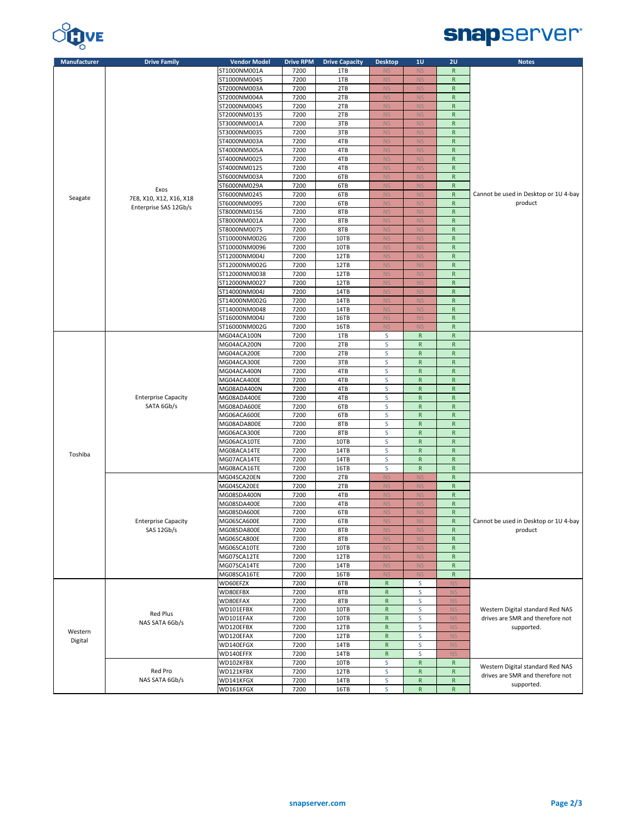

## snapserver<sup>®</sup>

| <b>Manufacturer</b> | <b>Drive Family</b>                      | <b>Vendor Model</b>          | <b>Drive RPM</b> | <b>Drive Capacity</b> | <b>Desktop</b>          | 10                          | 2U                      | <b>Notes</b>                                   |
|---------------------|------------------------------------------|------------------------------|------------------|-----------------------|-------------------------|-----------------------------|-------------------------|------------------------------------------------|
|                     |                                          | ST1000NM001A                 | 7200             | 1TB                   |                         |                             | $\mathsf R$             |                                                |
|                     |                                          | ST1000NM0045                 | 7200             | 1TB                   | <b>NS</b>               | <b>NS</b>                   | ${\sf R}$               |                                                |
|                     |                                          | ST2000NM003A                 | 7200             | 2TB                   | <b>NS</b>               | <b>NS</b>                   | ${\sf R}$               |                                                |
|                     |                                          | ST2000NM004A                 | 7200             | 2TB                   | <b>NS</b>               | <b>NS</b>                   | ${\sf R}$               |                                                |
|                     |                                          | ST2000NM0045                 | 7200             | 2TB                   | NS                      | <b>NS</b>                   | ${\sf R}$               |                                                |
|                     |                                          | ST2000NM0135                 | 7200             | 2TB                   | <b>NS</b>               | <b>NS</b>                   | ${\sf R}$               |                                                |
|                     |                                          | ST3000NM001A                 | 7200             | 3TB                   | NS                      | <b>NS</b>                   | ${\sf R}$               |                                                |
|                     |                                          | ST3000NM0035                 | 7200             | 3TB                   | <b>NS</b>               | <b>NS</b>                   | ${\sf R}$               |                                                |
|                     |                                          | ST4000NM003A                 | 7200             | 4TB                   | <b>NS</b>               | <b>NS</b>                   | ${\sf R}$               |                                                |
|                     |                                          | ST4000NM005A                 | 7200             | 4TB                   |                         |                             | $\mathsf R$             |                                                |
|                     |                                          | ST4000NM0025                 | 7200             | 4TB                   | <b>NS</b><br><b>NS</b>  | <b>NS</b><br><b>NS</b>      | ${\sf R}$               |                                                |
|                     |                                          | ST4000NM0125                 | 7200             | 4TB                   | <b>NS</b>               | <b>NS</b>                   | ${\sf R}$               | Cannot be used in Desktop or 1U 4-bay          |
|                     |                                          | ST6000NM003A                 | 7200             | 6TB                   | <b>NS</b>               | <b>NS</b>                   | $\mathsf R$             |                                                |
|                     |                                          | ST6000NM029A                 | 7200             | 6TB                   |                         |                             | ${\sf R}$               |                                                |
|                     | Exos                                     |                              |                  |                       | <b>NS</b>               | <b>NS</b>                   |                         |                                                |
| Seagate             | 7E8, X10, X12, X16, X18                  | ST6000NM0245<br>ST6000NM0095 | 7200             | 6TB                   | NS                      | <b>NS</b><br>N <sub>S</sub> | ${\sf R}$               | product                                        |
|                     | Enterprise SAS 12Gb/s                    |                              | 7200             | 6TB                   | <b>NS</b>               |                             | ${\sf R}$               |                                                |
|                     |                                          | ST8000NM0156                 | 7200             | 8TB                   | NS                      | <b>NS</b>                   | ${\sf R}$               |                                                |
|                     |                                          | ST8000NM001A                 | 7200             | 8TB                   | <b>NS</b>               | <b>NS</b>                   | ${\sf R}$               |                                                |
|                     |                                          | ST8000NM0075                 | 7200             | 8TB                   | <b>NS</b>               | <b>NS</b>                   | ${\sf R}$               |                                                |
|                     |                                          | ST10000NM002G                | 7200             | 10TB                  | NS                      | <b>NS</b>                   | ${\sf R}$               |                                                |
|                     |                                          | ST10000NM0096                | 7200             | 10TB                  | <b>NS</b>               | <b>NS</b>                   | ${\sf R}$               |                                                |
|                     |                                          | ST12000NM004J                | 7200             | 12TB                  | NS                      | <b>NS</b>                   | ${\sf R}$               |                                                |
|                     |                                          | ST12000NM002G                | 7200             | 12TB                  | <b>NS</b>               | <b>NS</b>                   | ${\sf R}$               |                                                |
|                     |                                          | ST12000NM0038                | 7200             | 12TB                  | <b>NS</b>               | <b>NS</b>                   | ${\sf R}$               |                                                |
|                     |                                          | ST12000NM0027                | 7200             | 12TB                  | <b>NS</b>               | <b>NS</b>                   | $\mathsf R$             |                                                |
|                     |                                          | ST14000NM004J                | 7200             | 14TB                  | <b>NS</b>               | <b>NS</b>                   | ${\sf R}$               |                                                |
|                     |                                          | ST14000NM002G                | 7200             | 14TB                  | NS                      | <b>NS</b>                   | ${\sf R}$               |                                                |
|                     |                                          | ST14000NM0048                | 7200             | 14TB                  | <b>NS</b>               | <b>NS</b>                   | ${\sf R}$               |                                                |
|                     |                                          | ST16000NM004J                | 7200             | 16TB                  | <b>NS</b>               | <b>NS</b>                   | ${\sf R}$               |                                                |
|                     |                                          | ST16000NM002G                | 7200             | 16TB                  | <b>NS</b>               | <b>NS</b>                   | $\mathsf R$             |                                                |
|                     |                                          | MG04ACA100N                  | 7200             | 1TB                   | S                       | $\mathsf R$                 | ${\sf R}$               |                                                |
|                     |                                          | MG04ACA200N                  | 7200             | 2TB                   | S                       | R                           | ${\sf R}$               |                                                |
|                     |                                          | MG04ACA200E                  | 7200             | 2TB                   | S                       | $\mathsf{R}$                | ${\sf R}$               |                                                |
|                     |                                          | MG04ACA300E                  | 7200             | 3TB                   | S                       | $\mathsf{R}$                | ${\sf R}$               |                                                |
|                     | <b>Enterprise Capacity</b><br>SATA 6Gb/s | MG04ACA400N                  | 7200             | 4TB                   | S                       | R                           | $\mathsf R$             |                                                |
|                     |                                          | MG04ACA400E                  | 7200             | 4TB                   | S                       | R                           | ${\sf R}$               |                                                |
|                     |                                          | MG08ADA400N                  | 7200             | 4TB                   | S                       | R                           | ${\sf R}$               |                                                |
|                     |                                          | MG08ADA400E                  | 7200             | 4TB                   | S                       | $\mathsf{R}$                | ${\sf R}$               |                                                |
|                     |                                          | MG08ADA600E                  | 7200             | 6TB                   | S                       | $\mathsf R$                 | ${\sf R}$               |                                                |
|                     |                                          | MG06ACA600E                  | 7200             | 6TB                   | S                       | R                           | $\mathsf R$             |                                                |
|                     |                                          | MG08ADA800E                  | 7200             | 8TB                   | S                       | R                           | ${\sf R}$               |                                                |
|                     |                                          | MG06ACA300E                  | 7200             | 8TB                   | S                       | R                           | ${\sf R}$               |                                                |
|                     |                                          | MG06ACA10TE                  | 7200             | 10TB                  | S                       | $\mathsf{R}$                | ${\sf R}$               |                                                |
| Toshiba             |                                          | MG08ACA14TE                  | 7200             | 14TB                  | S                       | $\mathsf R$                 | ${\sf R}$               |                                                |
|                     |                                          | MG07ACA14TE                  | 7200             | 14TB                  | S                       | R                           | $\mathsf R$             |                                                |
|                     |                                          | MG08ACA16TE                  | 7200             | 16TB                  | S                       | R                           | ${\sf R}$               |                                                |
|                     |                                          | MG04SCA20EN                  | 7200             | 2TB                   | <b>NS</b>               | <b>NS</b>                   | ${\sf R}$               |                                                |
|                     |                                          | MG04SCA20EE                  | 7200             | 2TB                   | <b>NS</b>               | <b>NS</b>                   | ${\sf R}$               |                                                |
|                     |                                          | MG08SDA400N                  | 7200             | 4TB                   | <b>NS</b>               | <b>NS</b>                   | ${\sf R}$               |                                                |
|                     | <b>Enterprise Capacity</b>               | MG08SDA400E                  | 7200             | 4TB                   | <b>NS</b>               | <b>NS</b>                   | $\mathsf R$             |                                                |
|                     |                                          | MG08SDA600E                  | 7200             | 6TB                   | <b>NS</b>               | N <sub>S</sub>              | ${\sf R}$               |                                                |
|                     |                                          | MG06SCA600E                  | 7200             | 6TB                   | <b>NS</b>               | <b>NS</b>                   | R                       | Cannot be used in Desktop or 1U 4-bay          |
|                     | SAS 12Gb/s                               | MG08SDA800E                  | 7200             | 8TB                   | <b>NS</b>               | <b>NS</b>                   | $\mathsf R$             | product                                        |
|                     |                                          | MG06SCA800E                  | 7200             | 8TB                   | NS                      | <b>NS</b>                   | ${\sf R}$               |                                                |
|                     |                                          | MG06SCA10TE                  | 7200             | 10TB                  | <b>NS</b>               | <b>NS</b>                   | $\mathsf R$             |                                                |
|                     |                                          | MG07SCA12TE                  | 7200             | 12TB                  | <b>NS</b>               | <b>NS</b>                   | ${\sf R}$               |                                                |
|                     |                                          | MG07SCA14TE                  | 7200             | 14TB                  | NS                      | <b>NS</b>                   | $\mathsf R$             |                                                |
|                     |                                          | MG08SCA16TE                  | 7200             | 16TB                  | NS                      | <b>NS</b>                   | $\mathsf R$             |                                                |
| Western<br>Digital  |                                          | WD60EFZX                     | 7200             | 6TB                   | $\mathsf{R}$            | S                           | <b>NS</b>               |                                                |
|                     |                                          | WD80EFBX                     | 7200             | 8TB                   | ${\sf R}$               | S                           | <b>NS</b>               |                                                |
|                     |                                          | WD80EFAX                     | 7200             | 8TB                   | R                       | S                           | <b>NS</b>               |                                                |
|                     | <b>Red Plus</b><br>NAS SATA 6Gb/s        | WD101EFBX                    | 7200             | 10TB                  | ${\sf R}$               | S                           | <b>NS</b>               | Western Digital standard Red NAS               |
|                     |                                          | WD101EFAX                    | 7200             | 10TB                  | $\overline{\mathsf{R}}$ | S                           | <b>NS</b>               | drives are SMR and therefore not<br>supported. |
|                     |                                          | WD120EFBX                    | 7200             | 12TB                  | ${\sf R}$               | S                           | <b>NS</b>               |                                                |
|                     |                                          | WD120EFAX                    | 7200             | 12TB                  | ${\sf R}$               | S                           | <b>NS</b>               |                                                |
|                     |                                          | WD140EFGX                    | 7200             | 14TB                  | $\overline{\mathsf{R}}$ | S                           | <b>NS</b>               |                                                |
|                     |                                          | WD140EFFX                    | 7200             | 14TB                  | ${\sf R}$               | S                           | <b>NS</b>               |                                                |
|                     |                                          | WD102KFBX                    | 7200             | 10TB                  | S                       | ${\sf R}$                   | ${\sf R}$               |                                                |
|                     | Red Pro                                  | WD121KFBX                    | 7200             | 12TB                  | S                       | $\mathsf{R}$                | ${\sf R}$               | Western Digital standard Red NAS               |
|                     | NAS SATA 6Gb/s                           | WD141KFGX                    | 7200             | 14TB                  | S                       | R                           | ${\sf R}$               | drives are SMR and therefore not               |
|                     |                                          | WD161KFGX                    | 7200             | 16TB                  | S                       | $\overline{\mathsf{R}}$     | $\overline{\mathsf{R}}$ | supported.                                     |